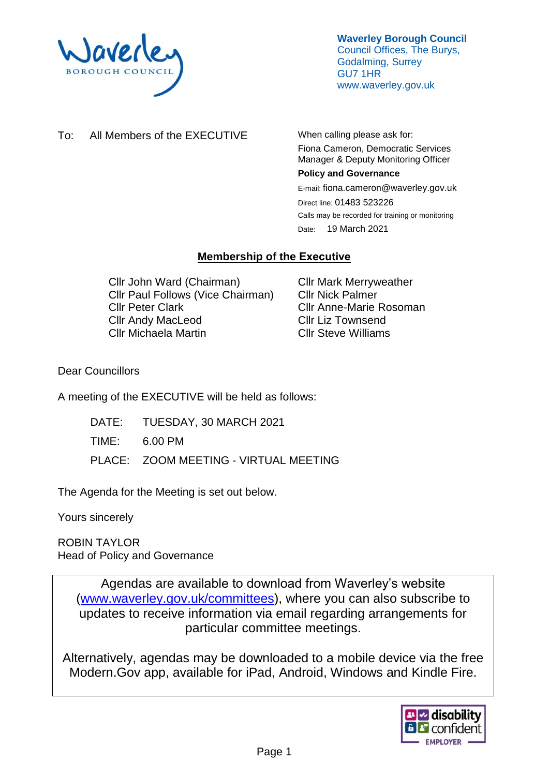

**Waverley Borough Council** Council Offices, The Burys, Godalming, Surrey GU7 1HR www.waverley.gov.uk

To: All Members of the EXECUTIVE When calling please ask for:

Fiona Cameron, Democratic Services Manager & Deputy Monitoring Officer

#### **Policy and Governance**

E-mail: fiona.cameron@waverley.gov.uk Direct line: 01483 523226 Calls may be recorded for training or monitoring Date: 19 March 2021

# **Membership of the Executive**

Cllr John Ward (Chairman) Cllr Paul Follows (Vice Chairman) Cllr Peter Clark Cllr Andy MacLeod Cllr Michaela Martin

Cllr Mark Merryweather Cllr Nick Palmer Cllr Anne-Marie Rosoman Cllr Liz Townsend Cllr Steve Williams

Dear Councillors

A meeting of the EXECUTIVE will be held as follows:

- DATE: TUESDAY, 30 MARCH 2021
- TIME: 6.00 PM
- PLACE: ZOOM MEETING VIRTUAL MEETING

The Agenda for the Meeting is set out below.

Yours sincerely

ROBIN TAYLOR Head of Policy and Governance

> Agendas are available to download from Waverley's website [\(www.waverley.gov.uk/committees\)](http://www.waverley.gov.uk/committees), where you can also subscribe to updates to receive information via email regarding arrangements for particular committee meetings.

Alternatively, agendas may be downloaded to a mobile device via the free Modern.Gov app, available for iPad, Android, Windows and Kindle Fire.

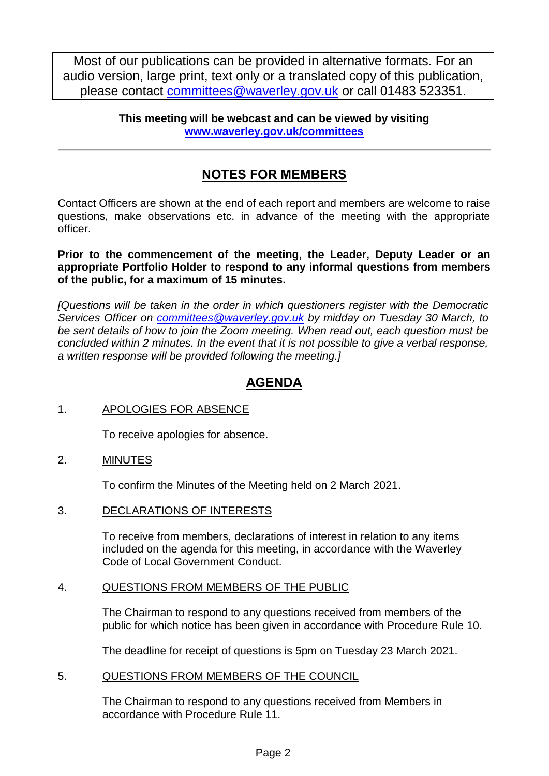Most of our publications can be provided in alternative formats. For an audio version, large print, text only or a translated copy of this publication, please contact [committees@waverley.gov.uk](mailto:committees@waverley.gov.uk) or call 01483 523351.

> **This meeting will be webcast and can be viewed by visiting [www.waverley.gov.uk/committees](http://www.waverley.gov.uk/committees)**

# **NOTES FOR MEMBERS**

Contact Officers are shown at the end of each report and members are welcome to raise questions, make observations etc. in advance of the meeting with the appropriate officer.

**Prior to the commencement of the meeting, the Leader, Deputy Leader or an appropriate Portfolio Holder to respond to any informal questions from members of the public, for a maximum of 15 minutes.**

*[Questions will be taken in the order in which questioners register with the Democratic Services Officer on [committees@waverley.gov.uk](mailto:committees@waverley.gov.uk) by midday on Tuesday 30 March, to be sent details of how to join the Zoom meeting. When read out, each question must be concluded within 2 minutes. In the event that it is not possible to give a verbal response, a written response will be provided following the meeting.]*

# **AGENDA**

## 1. APOLOGIES FOR ABSENCE

To receive apologies for absence.

## 2. MINUTES

To confirm the Minutes of the Meeting held on 2 March 2021.

3. DECLARATIONS OF INTERESTS

To receive from members, declarations of interest in relation to any items included on the agenda for this meeting, in accordance with the Waverley Code of Local Government Conduct.

#### 4. QUESTIONS FROM MEMBERS OF THE PUBLIC

The Chairman to respond to any questions received from members of the public for which notice has been given in accordance with Procedure Rule 10.

The deadline for receipt of questions is 5pm on Tuesday 23 March 2021.

5. QUESTIONS FROM MEMBERS OF THE COUNCIL

The Chairman to respond to any questions received from Members in accordance with Procedure Rule 11.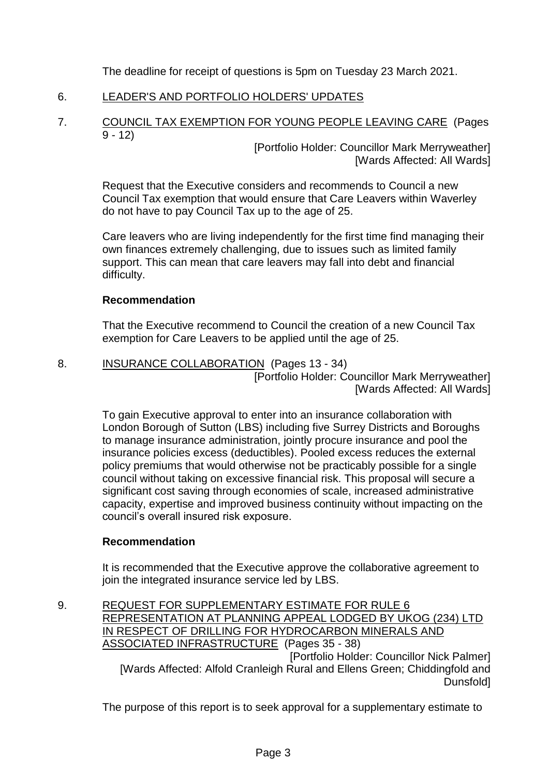The deadline for receipt of questions is 5pm on Tuesday 23 March 2021.

## 6. LEADER'S AND PORTFOLIO HOLDERS' UPDATES

7. COUNCIL TAX EXEMPTION FOR YOUNG PEOPLE LEAVING CARE (Pages  $9 - 12$ 

[Portfolio Holder: Councillor Mark Merryweather] [Wards Affected: All Wards]

Request that the Executive considers and recommends to Council a new Council Tax exemption that would ensure that Care Leavers within Waverley do not have to pay Council Tax up to the age of 25.

Care leavers who are living independently for the first time find managing their own finances extremely challenging, due to issues such as limited family support. This can mean that care leavers may fall into debt and financial difficulty.

#### **Recommendation**

That the Executive recommend to Council the creation of a new Council Tax exemption for Care Leavers to be applied until the age of 25.

8. INSURANCE COLLABORATION (Pages 13 - 34) [Portfolio Holder: Councillor Mark Merryweather]

[Wards Affected: All Wards]

To gain Executive approval to enter into an insurance collaboration with London Borough of Sutton (LBS) including five Surrey Districts and Boroughs to manage insurance administration, jointly procure insurance and pool the insurance policies excess (deductibles). Pooled excess reduces the external policy premiums that would otherwise not be practicably possible for a single council without taking on excessive financial risk. This proposal will secure a significant cost saving through economies of scale, increased administrative capacity, expertise and improved business continuity without impacting on the council's overall insured risk exposure.

#### **Recommendation**

It is recommended that the Executive approve the collaborative agreement to join the integrated insurance service led by LBS.

9. REQUEST FOR SUPPLEMENTARY ESTIMATE FOR RULE 6 REPRESENTATION AT PLANNING APPEAL LODGED BY UKOG (234) LTD IN RESPECT OF DRILLING FOR HYDROCARBON MINERALS AND ASSOCIATED INFRASTRUCTURE (Pages 35 - 38) [Portfolio Holder: Councillor Nick Palmer] [Wards Affected: Alfold Cranleigh Rural and Ellens Green; Chiddingfold and Dunsfold]

The purpose of this report is to seek approval for a supplementary estimate to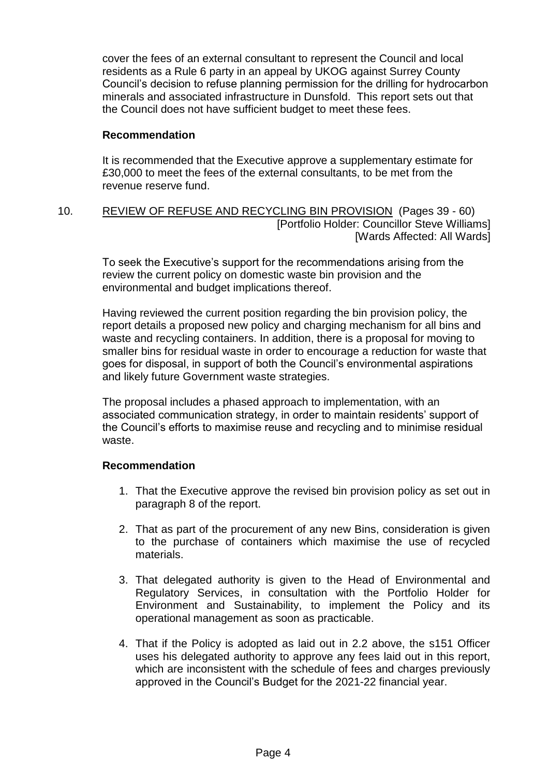cover the fees of an external consultant to represent the Council and local residents as a Rule 6 party in an appeal by UKOG against Surrey County Council's decision to refuse planning permission for the drilling for hydrocarbon minerals and associated infrastructure in Dunsfold. This report sets out that the Council does not have sufficient budget to meet these fees.

#### **Recommendation**

It is recommended that the Executive approve a supplementary estimate for £30,000 to meet the fees of the external consultants, to be met from the revenue reserve fund.

#### 10. REVIEW OF REFUSE AND RECYCLING BIN PROVISION (Pages 39 - 60) [Portfolio Holder: Councillor Steve Williams] [Wards Affected: All Wards]

To seek the Executive's support for the recommendations arising from the review the current policy on domestic waste bin provision and the environmental and budget implications thereof.

Having reviewed the current position regarding the bin provision policy, the report details a proposed new policy and charging mechanism for all bins and waste and recycling containers. In addition, there is a proposal for moving to smaller bins for residual waste in order to encourage a reduction for waste that goes for disposal, in support of both the Council's environmental aspirations and likely future Government waste strategies.

The proposal includes a phased approach to implementation, with an associated communication strategy, in order to maintain residents' support of the Council's efforts to maximise reuse and recycling and to minimise residual waste.

#### **Recommendation**

- 1. That the Executive approve the revised bin provision policy as set out in paragraph 8 of the report.
- 2. That as part of the procurement of any new Bins, consideration is given to the purchase of containers which maximise the use of recycled materials.
- 3. That delegated authority is given to the Head of Environmental and Regulatory Services, in consultation with the Portfolio Holder for Environment and Sustainability, to implement the Policy and its operational management as soon as practicable.
- 4. That if the Policy is adopted as laid out in 2.2 above, the s151 Officer uses his delegated authority to approve any fees laid out in this report, which are inconsistent with the schedule of fees and charges previously approved in the Council's Budget for the 2021-22 financial year.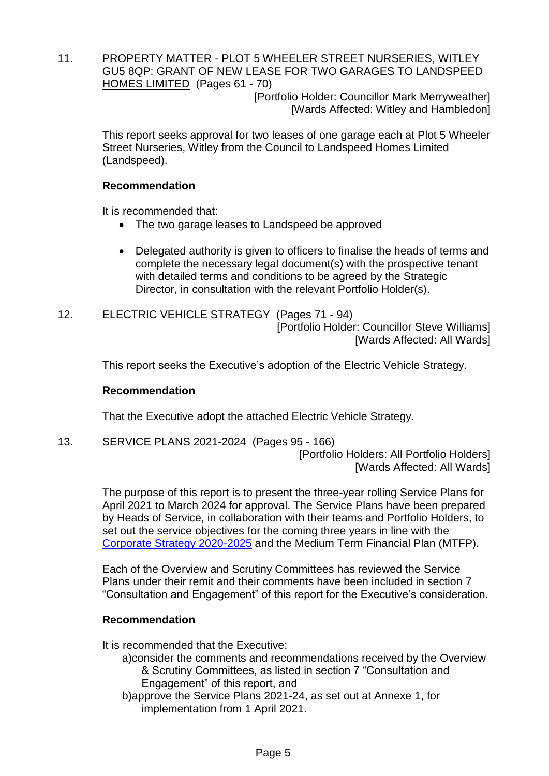11. PROPERTY MATTER - PLOT 5 WHEELER STREET NURSERIES, WITLEY GU5 8QP: GRANT OF NEW LEASE FOR TWO GARAGES TO LANDSPEED HOMES LIMITED (Pages 61 - 70)

[Portfolio Holder: Councillor Mark Merryweather] [Wards Affected: Witley and Hambledon]

This report seeks approval for two leases of one garage each at Plot 5 Wheeler Street Nurseries, Witley from the Council to Landspeed Homes Limited (Landspeed).

## **Recommendation**

It is recommended that:

- The two garage leases to Landspeed be approved
- Delegated authority is given to officers to finalise the heads of terms and complete the necessary legal document(s) with the prospective tenant with detailed terms and conditions to be agreed by the Strategic Director, in consultation with the relevant Portfolio Holder(s).
- 12. ELECTRIC VEHICLE STRATEGY (Pages 71 94) [Portfolio Holder: Councillor Steve Williams] [Wards Affected: All Wards]

This report seeks the Executive's adoption of the Electric Vehicle Strategy.

#### **Recommendation**

That the Executive adopt the attached Electric Vehicle Strategy.

13. SERVICE PLANS 2021-2024 (Pages 95 - 166)

[Portfolio Holders: All Portfolio Holders] [Wards Affected: All Wards]

The purpose of this report is to present the three-year rolling Service Plans for April 2021 to March 2024 for approval. The Service Plans have been prepared by Heads of Service, in collaboration with their teams and Portfolio Holders, to set out the service objectives for the coming three years in line with the [Corporate Strategy 2020-2025](https://www.waverley.gov.uk/Services/Council-information/About-Waverley-Borough-Council/Corporate-Strategy-2020-25) and the Medium Term Financial Plan (MTFP).

Each of the Overview and Scrutiny Committees has reviewed the Service Plans under their remit and their comments have been included in section 7 "Consultation and Engagement" of this report for the Executive's consideration.

#### **Recommendation**

It is recommended that the Executive:

- a)consider the comments and recommendations received by the Overview & Scrutiny Committees, as listed in section 7 "Consultation and Engagement" of this report, and
- b)approve the Service Plans 2021-24, as set out at Annexe 1, for implementation from 1 April 2021.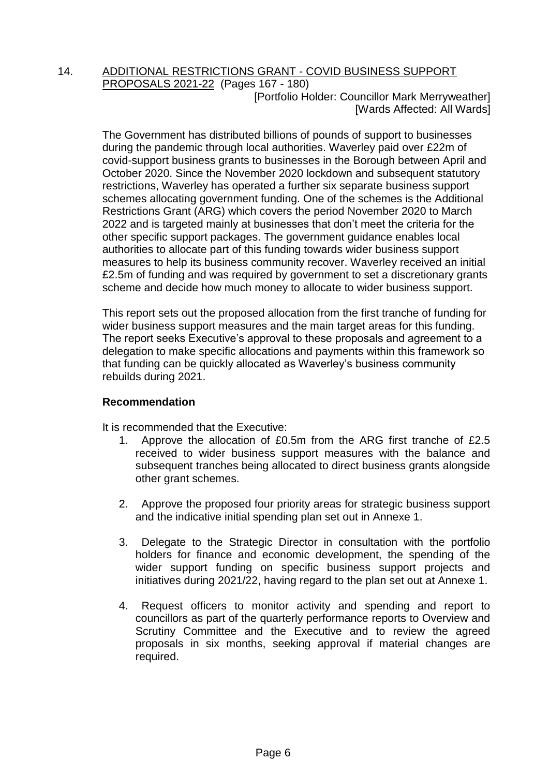#### 14. ADDITIONAL RESTRICTIONS GRANT - COVID BUSINESS SUPPORT PROPOSALS 2021-22 (Pages 167 - 180) [Portfolio Holder: Councillor Mark Merryweather] [Wards Affected: All Wards]

The Government has distributed billions of pounds of support to businesses during the pandemic through local authorities. Waverley paid over £22m of covid-support business grants to businesses in the Borough between April and October 2020. Since the November 2020 lockdown and subsequent statutory restrictions, Waverley has operated a further six separate business support schemes allocating government funding. One of the schemes is the Additional Restrictions Grant (ARG) which covers the period November 2020 to March 2022 and is targeted mainly at businesses that don't meet the criteria for the other specific support packages. The government guidance enables local authorities to allocate part of this funding towards wider business support measures to help its business community recover. Waverley received an initial £2.5m of funding and was required by government to set a discretionary grants scheme and decide how much money to allocate to wider business support.

This report sets out the proposed allocation from the first tranche of funding for wider business support measures and the main target areas for this funding. The report seeks Executive's approval to these proposals and agreement to a delegation to make specific allocations and payments within this framework so that funding can be quickly allocated as Waverley's business community rebuilds during 2021.

## **Recommendation**

It is recommended that the Executive:

- 1. Approve the allocation of £0.5m from the ARG first tranche of £2.5 received to wider business support measures with the balance and subsequent tranches being allocated to direct business grants alongside other grant schemes.
- 2. Approve the proposed four priority areas for strategic business support and the indicative initial spending plan set out in Annexe 1.
- 3. Delegate to the Strategic Director in consultation with the portfolio holders for finance and economic development, the spending of the wider support funding on specific business support projects and initiatives during 2021/22, having regard to the plan set out at Annexe 1.
- 4. Request officers to monitor activity and spending and report to councillors as part of the quarterly performance reports to Overview and Scrutiny Committee and the Executive and to review the agreed proposals in six months, seeking approval if material changes are required.